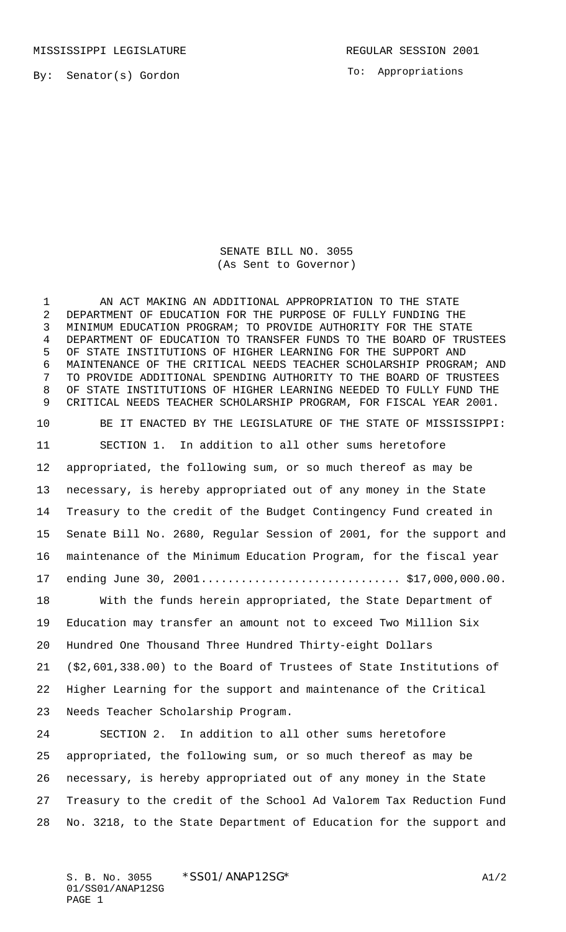MISSISSIPPI LEGISLATURE **REGULAR SESSION 2001** 

To: Appropriations

SENATE BILL NO. 3055 (As Sent to Governor)

1 AN ACT MAKING AN ADDITIONAL APPROPRIATION TO THE STATE DEPARTMENT OF EDUCATION FOR THE PURPOSE OF FULLY FUNDING THE MINIMUM EDUCATION PROGRAM; TO PROVIDE AUTHORITY FOR THE STATE DEPARTMENT OF EDUCATION TO TRANSFER FUNDS TO THE BOARD OF TRUSTEES OF STATE INSTITUTIONS OF HIGHER LEARNING FOR THE SUPPORT AND MAINTENANCE OF THE CRITICAL NEEDS TEACHER SCHOLARSHIP PROGRAM; AND TO PROVIDE ADDITIONAL SPENDING AUTHORITY TO THE BOARD OF TRUSTEES OF STATE INSTITUTIONS OF HIGHER LEARNING NEEDED TO FULLY FUND THE CRITICAL NEEDS TEACHER SCHOLARSHIP PROGRAM, FOR FISCAL YEAR 2001. BE IT ENACTED BY THE LEGISLATURE OF THE STATE OF MISSISSIPPI: SECTION 1. In addition to all other sums heretofore appropriated, the following sum, or so much thereof as may be necessary, is hereby appropriated out of any money in the State Treasury to the credit of the Budget Contingency Fund created in Senate Bill No. 2680, Regular Session of 2001, for the support and maintenance of the Minimum Education Program, for the fiscal year ending June 30, 2001.............................. \$17,000,000.00. With the funds herein appropriated, the State Department of Education may transfer an amount not to exceed Two Million Six Hundred One Thousand Three Hundred Thirty-eight Dollars (\$2,601,338.00) to the Board of Trustees of State Institutions of Higher Learning for the support and maintenance of the Critical Needs Teacher Scholarship Program. SECTION 2. In addition to all other sums heretofore

 appropriated, the following sum, or so much thereof as may be necessary, is hereby appropriated out of any money in the State Treasury to the credit of the School Ad Valorem Tax Reduction Fund No. 3218, to the State Department of Education for the support and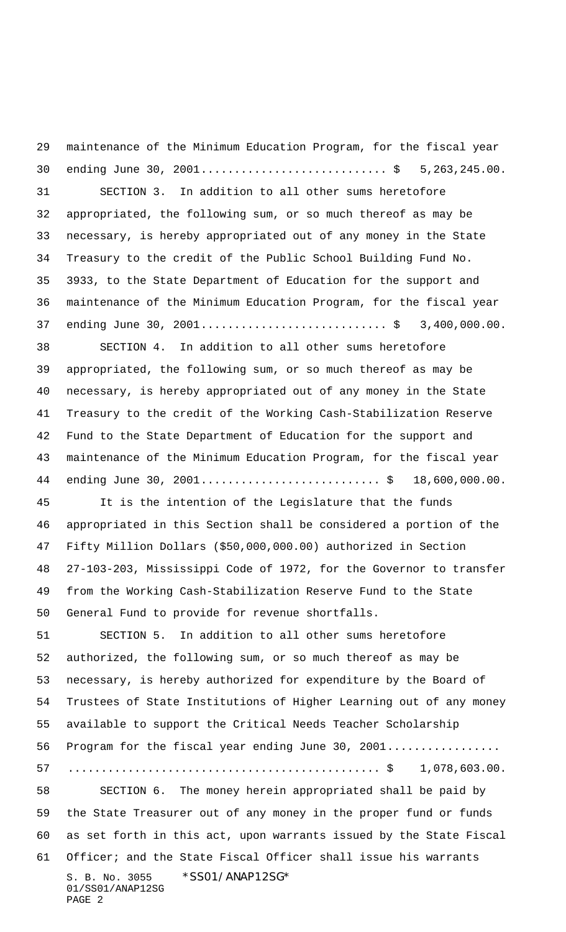S. B. No. 3055 \*SS01/ANAP12SG\* 01/SS01/ANAP12SG PAGE 2 maintenance of the Minimum Education Program, for the fiscal year 30 ending June 30, 2001.................................\$ 5,263,245.00. SECTION 3. In addition to all other sums heretofore appropriated, the following sum, or so much thereof as may be necessary, is hereby appropriated out of any money in the State Treasury to the credit of the Public School Building Fund No. 3933, to the State Department of Education for the support and maintenance of the Minimum Education Program, for the fiscal year 37 ending June 30, 2001................................\$ 3,400,000.00. SECTION 4. In addition to all other sums heretofore appropriated, the following sum, or so much thereof as may be necessary, is hereby appropriated out of any money in the State Treasury to the credit of the Working Cash-Stabilization Reserve Fund to the State Department of Education for the support and maintenance of the Minimum Education Program, for the fiscal year 44 ending June 30, 2001................................\$ 18,600,000.00. It is the intention of the Legislature that the funds appropriated in this Section shall be considered a portion of the Fifty Million Dollars (\$50,000,000.00) authorized in Section 27-103-203, Mississippi Code of 1972, for the Governor to transfer from the Working Cash-Stabilization Reserve Fund to the State General Fund to provide for revenue shortfalls. SECTION 5. In addition to all other sums heretofore authorized, the following sum, or so much thereof as may be necessary, is hereby authorized for expenditure by the Board of Trustees of State Institutions of Higher Learning out of any money available to support the Critical Needs Teacher Scholarship 56 Program for the fiscal year ending June 30, 2001................. ............................................... \$ 1,078,603.00. SECTION 6. The money herein appropriated shall be paid by the State Treasurer out of any money in the proper fund or funds as set forth in this act, upon warrants issued by the State Fiscal Officer; and the State Fiscal Officer shall issue his warrants